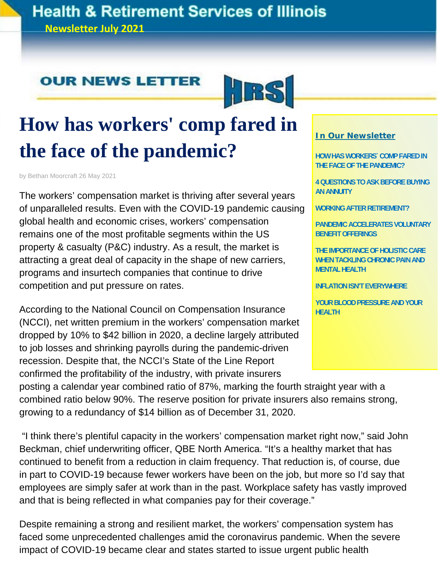#### **Health & Retirement Services of Illinois Newsletter July 2021**

#### **OUR NEWS LETTER**



# **How has workers' comp fared in the face of the pandemic?**

by Bethan Moorcraft 26 May 2021

The workers' compensation market is thriving after several years of unparalleled results. Even with the COVID-19 pandemic causing global health and economic crises, workers' compensation remains one of the most profitable segments within the US property & casualty (P&C) industry. As a result, the market is attracting a great deal of capacity in the shape of new carriers, programs and insurtech companies that continue to drive competition and put pressure on rates.

According to the National Council on Compensation Insurance (NCCI), net written premium in the workers' compensation market dropped by 10% to \$42 billion in 2020, a decline largely attributed to job losses and shrinking payrolls during the pandemic-driven recession. Despite that, the NCCI's State of the Line Report confirmed the profitability of the industry, with private insurers

#### **In Our Newsletter**

**HOW HAS WORKERS` COMP FARED IN THE FACE OF THE PANDEMIC?** 

**4 QUESTIONS TO ASK BEFORE BUYING AN ANNUITY** 

**WORKING AFTER RETIREMENT?** 

**PANDEMIC ACCELERATES VOLUNTARY BENEFIT OFFERINGS** 

**THE IMPORTANCE OF HOLISTIC CARE WHEN TACKLING CHRONIC PAIN AND MENTAL HEALTH** 

**INFLATION ISN'T EVERYWHERE** 

**YOUR BLOOD PRESSURE AND YOUR HEALTH**

posting a calendar year combined ratio of 87%, marking the fourth straight year with a combined ratio below 90%. The reserve position for private insurers also remains strong, growing to a redundancy of \$14 billion as of December 31, 2020.

 "I think there's plentiful capacity in the workers' compensation market right now," said John Beckman, chief underwriting officer, QBE North America. "It's a healthy market that has continued to benefit from a reduction in claim frequency. That reduction is, of course, due in part to COVID-19 because fewer workers have been on the job, but more so I'd say that employees are simply safer at work than in the past. Workplace safety has vastly improved and that is being reflected in what companies pay for their coverage."

Despite remaining a strong and resilient market, the workers' compensation system has faced some unprecedented challenges amid the coronavirus pandemic. When the severe impact of COVID-19 became clear and states started to issue urgent public health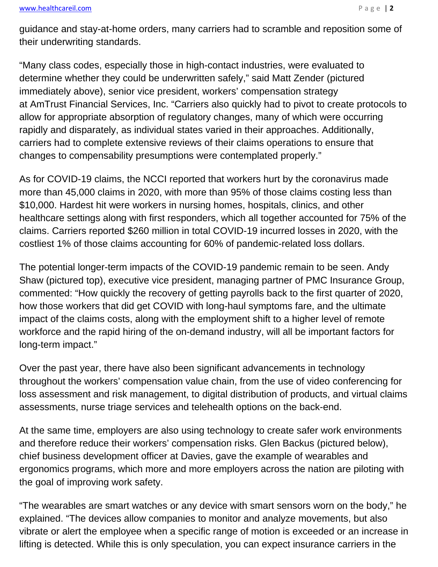#### www.healthcareil.com **Page | 2**

guidance and stay-at-home orders, many carriers had to scramble and reposition some of their underwriting standards.

"Many class codes, especially those in high-contact industries, were evaluated to determine whether they could be underwritten safely," said Matt Zender (pictured immediately above), senior vice president, workers' compensation strategy at AmTrust Financial Services, Inc. "Carriers also quickly had to pivot to create protocols to allow for appropriate absorption of regulatory changes, many of which were occurring rapidly and disparately, as individual states varied in their approaches. Additionally, carriers had to complete extensive reviews of their claims operations to ensure that changes to compensability presumptions were contemplated properly."

As for COVID-19 claims, the NCCI reported that workers hurt by the coronavirus made more than 45,000 claims in 2020, with more than 95% of those claims costing less than \$10,000. Hardest hit were workers in nursing homes, hospitals, clinics, and other healthcare settings along with first responders, which all together accounted for 75% of the claims. Carriers reported \$260 million in total COVID-19 incurred losses in 2020, with the costliest 1% of those claims accounting for 60% of pandemic-related loss dollars.

The potential longer-term impacts of the COVID-19 pandemic remain to be seen. Andy Shaw (pictured top), executive vice president, managing partner of PMC Insurance Group, commented: "How quickly the recovery of getting payrolls back to the first quarter of 2020, how those workers that did get COVID with long-haul symptoms fare, and the ultimate impact of the claims costs, along with the employment shift to a higher level of remote workforce and the rapid hiring of the on-demand industry, will all be important factors for long-term impact."

Over the past year, there have also been significant advancements in technology throughout the workers' compensation value chain, from the use of video conferencing for loss assessment and risk management, to digital distribution of products, and virtual claims assessments, nurse triage services and telehealth options on the back-end.

At the same time, employers are also using technology to create safer work environments and therefore reduce their workers' compensation risks. Glen Backus (pictured below), chief business development officer at Davies, gave the example of wearables and ergonomics programs, which more and more employers across the nation are piloting with the goal of improving work safety.

"The wearables are smart watches or any device with smart sensors worn on the body," he explained. "The devices allow companies to monitor and analyze movements, but also vibrate or alert the employee when a specific range of motion is exceeded or an increase in lifting is detected. While this is only speculation, you can expect insurance carriers in the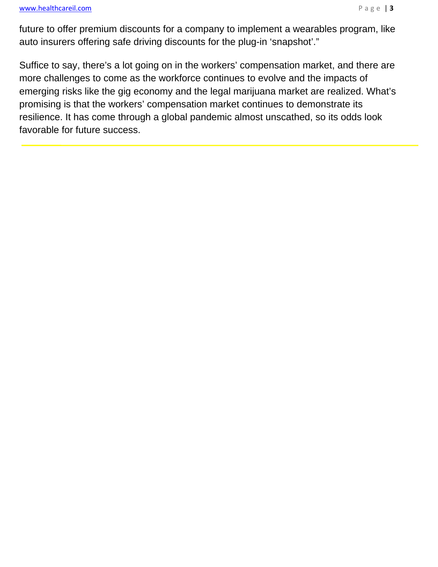#### www.healthcareil.com **Page | 3**

future to offer premium discounts for a company to implement a wearables program, like auto insurers offering safe driving discounts for the plug-in 'snapshot'."

Suffice to say, there's a lot going on in the workers' compensation market, and there are more challenges to come as the workforce continues to evolve and the impacts of emerging risks like the gig economy and the legal marijuana market are realized. What's promising is that the workers' compensation market continues to demonstrate its resilience. It has come through a global pandemic almost unscathed, so its odds look favorable for future success.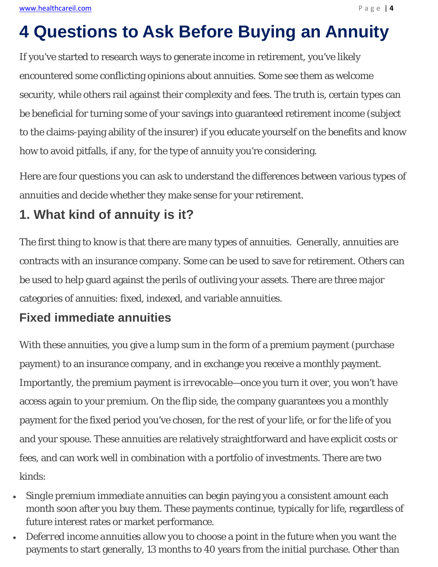# **4 Questions to Ask Before Buying an Annuity**

If you've started to research ways to generate income in retirement, you've likely encountered some conflicting opinions about annuities. Some see them as welcome security, while others rail against their complexity and fees. The truth is, certain types can be beneficial for turning some of your savings into guaranteed retirement income (subject to the claims-paying ability of the insurer) if you educate yourself on the benefits and know how to avoid pitfalls, if any, for the type of annuity you're considering.

Here are four questions you can ask to understand the differences between various types of annuities and decide whether they make sense for your retirement.

#### **1. What kind of annuity is it?**

The first thing to know is that there are many types of annuities. Generally, annuities are contracts with an insurance company. Some can be used to save for retirement. Others can be used to help guard against the perils of outliving your assets. There are three major categories of annuities: fixed, indexed, and variable annuities.

#### **Fixed immediate annuities**

With these annuities, you give a lump sum in the form of a premium payment (purchase payment) to an insurance company, and in exchange you receive a monthly payment. Importantly, the premium payment is *irrevocable*—once you turn it over, you won't have access again to your premium. On the flip side, the company guarantees you a monthly payment for the fixed period you've chosen, for the rest of your life, or for the life of you and your spouse. These annuities are relatively straightforward and have explicit costs or fees, and can work well in combination with a portfolio of investments. There are two kinds:

- *Single premium immediate annuities* can begin paying you a consistent amount each month soon after you buy them. These payments continue, typically for life, regardless of future interest rates or market performance.
- *Deferred income annuities* allow you to choose a point in the future when you want the payments to start generally, 13 months to 40 years from the initial purchase. Other than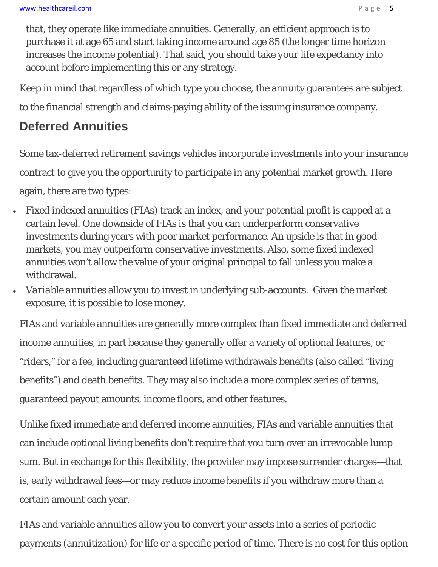that, they operate like immediate annuities. Generally, an efficient approach is to purchase it at age 65 and start taking income around age 85 (the longer time horizon increases the income potential). That said, you should take *your* life expectancy into account before implementing this or any strategy.

Keep in mind that regardless of which type you choose, the annuity guarantees are subject

to the financial strength and claims-paying ability of the issuing insurance company.

#### **Deferred Annuities**

Some tax-deferred retirement savings vehicles incorporate investments into your insurance contract to give you the opportunity to participate in any potential market growth. Here again, there are two types:

- *Fixed indexed annuities* (FIAs) track an index, and your potential profit is capped at a certain level. One downside of FIAs is that you can underperform conservative investments during years with poor market performance. An upside is that in good markets, you may outperform conservative investments. Also, some fixed indexed annuities won't allow the value of your original principal to fall unless you make a withdrawal.
- *Variable annuities* allow you to invest in underlying sub-accounts. Given the market exposure, it is possible to lose money.

FIAs and variable annuities are generally more complex than fixed immediate and deferred income annuities, in part because they generally offer a variety of optional features, or "riders," for a fee, including guaranteed lifetime withdrawals benefits (also called "living benefits") and death benefits. They may also include a more complex series of terms, guaranteed payout amounts, income floors, and other features.

Unlike fixed immediate and deferred income annuities, FIAs and variable annuities that can include optional living benefits don't require that you turn over an irrevocable lump sum. But in exchange for this flexibility, the provider may impose surrender charges—that is, early withdrawal fees—or may reduce income benefits if you withdraw more than a certain amount each year.

FIAs and variable annuities allow you to convert your assets into a series of periodic payments (annuitization) for life or a specific period of time. There is no cost for this option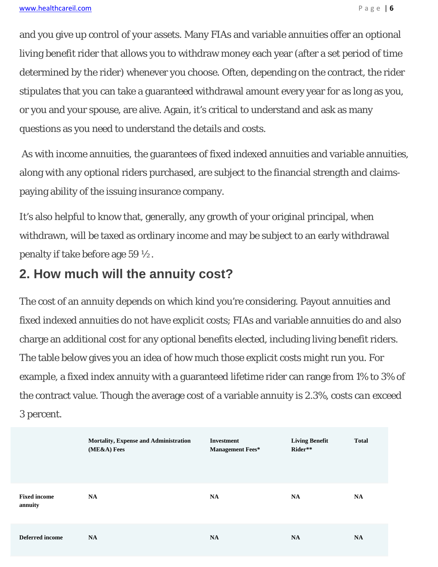and you give up control of your assets. Many FIAs and variable annuities offer an optional living benefit rider that allows you to withdraw money each year (after a set period of time determined by the rider) whenever you choose. Often, depending on the contract, the rider stipulates that you can take a guaranteed withdrawal amount every year for as long as you, or you and your spouse, are alive. Again, it's critical to understand and ask as many questions as you need to understand the details and costs.

 As with income annuities, the guarantees of fixed indexed annuities and variable annuities, along with any optional riders purchased, are subject to the financial strength and claimspaying ability of the issuing insurance company.

It's also helpful to know that, generally, any growth of your original principal, when withdrawn, will be taxed as ordinary income and may be subject to an early withdrawal penalty if take before age 59 ½.

#### **2. How much will the annuity cost?**

The cost of an annuity depends on which kind you're considering. Payout annuities and fixed indexed annuities do not have explicit costs; FIAs and variable annuities do and also charge an additional cost for any optional benefits elected, including living benefit riders. The table below gives you an idea of how much those explicit costs might run you. For example, a fixed index annuity with a guaranteed lifetime rider can range from 1% to 3% of the contract value. Though the average cost of a variable annuity is 2.3%, costs *can* exceed 3 percent.

|                                | Mortality, Expense and Administration<br>(ME&A) Fees | <b>Investment</b><br><b>Management Fees*</b> | <b>Living Benefit</b><br>Rider** | <b>Total</b> |
|--------------------------------|------------------------------------------------------|----------------------------------------------|----------------------------------|--------------|
| <b>Fixed income</b><br>annuity | <b>NA</b>                                            | NA                                           | <b>NA</b>                        | <b>NA</b>    |
| <b>Deferred</b> income         | <b>NA</b>                                            | <b>NA</b>                                    | <b>NA</b>                        | <b>NA</b>    |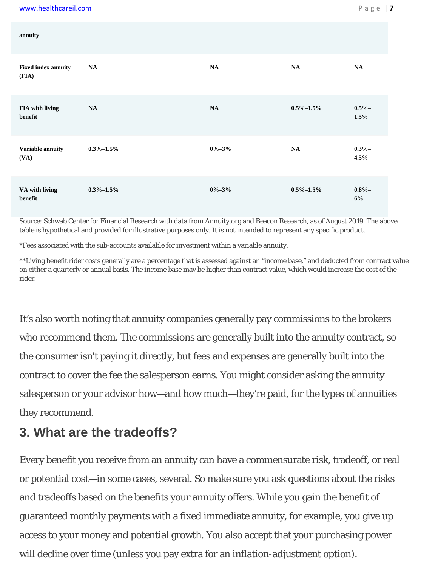| annuity                             |                 |             |                 |                  |
|-------------------------------------|-----------------|-------------|-----------------|------------------|
| <b>Fixed index annuity</b><br>(FIA) | NA              | NA          | NA              | NA               |
| FIA with living<br>benefit          | NA              | NA          | $0.5\% - 1.5\%$ | $0.5% -$<br>1.5% |
| Variable annuity<br>(VA)            | $0.3\% - 1.5\%$ | $0\% - 3\%$ | NA              | $0.3% -$<br>4.5% |
| VA with living<br>benefit           | $0.3\% - 1.5\%$ | $0\% - 3\%$ | $0.5\% - 1.5\%$ | $0.8\% -$<br>6%  |

Source: Schwab Center for Financial Research with data from Annuity.org and Beacon Research, as of August 2019. The above table is hypothetical and provided for illustrative purposes only. It is not intended to represent any specific product.

\*Fees associated with the sub-accounts available for investment within a variable annuity.

\*\*Living benefit rider costs generally are a percentage that is assessed against an "income base," and deducted from contract value on either a quarterly or annual basis. The income base may be higher than contract value, which would increase the cost of the rider.

It's also worth noting that annuity companies generally pay commissions to the brokers who recommend them. The commissions are generally built into the annuity contract, so the consumer isn't paying it directly, but fees and expenses are generally built into the contract to cover the fee the salesperson earns. You might consider asking the annuity salesperson or your advisor how—and how much—they're paid, for the types of annuities they recommend.

#### **3. What are the tradeoffs?**

Every benefit you receive from an annuity can have a commensurate risk, tradeoff, or real or potential cost—in some cases, several. So make sure you ask questions about the risks and tradeoffs based on the benefits your annuity offers. While you gain the benefit of guaranteed monthly payments with a fixed immediate annuity, for example, you give up access to your money and potential growth. You also accept that your purchasing power will decline over time (unless you pay extra for an inflation-adjustment option).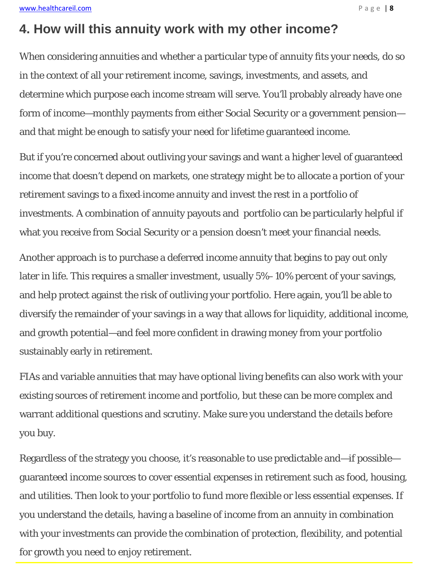#### **4. How will this annuity work with my other income?**

When considering annuities and whether a particular type of annuity fits your needs, do so in the context of all your retirement income, savings, investments, and assets, and determine which purpose each income stream will serve. You'll probably already have one form of income—monthly payments from either Social Security or a government pension and that might be enough to satisfy your need for lifetime guaranteed income.

But if you're concerned about outliving your savings and want a higher level of guaranteed income that doesn't depend on markets, one strategy might be to allocate a portion of your retirement savings to a fixed-income annuity and invest the rest in a portfolio of investments. A combination of annuity payouts and portfolio can be particularly helpful if what you receive from Social Security or a pension doesn't meet your financial needs.

Another approach is to purchase a deferred income annuity that begins to pay out only later in life. This requires a smaller investment, usually 5%–10% percent of your savings, and help protect against the risk of outliving your portfolio. Here again, you'll be able to diversify the remainder of your savings in a way that allows for liquidity, additional income, and growth potential—and feel more confident in drawing money from your portfolio sustainably early in retirement.

FIAs and variable annuities that may have optional living benefits can also work with your existing sources of retirement income and portfolio, but these can be more complex and warrant additional questions and scrutiny. Make sure you understand the details before you buy.

Regardless of the strategy you choose, it's reasonable to use predictable and—if possible guaranteed income sources to cover essential expenses in retirement such as food, housing, and utilities. Then look to your portfolio to fund more flexible or less essential expenses. If you understand the details, having a baseline of income from an annuity in combination with your investments can provide the combination of protection, flexibility, and potential for growth you need to enjoy retirement.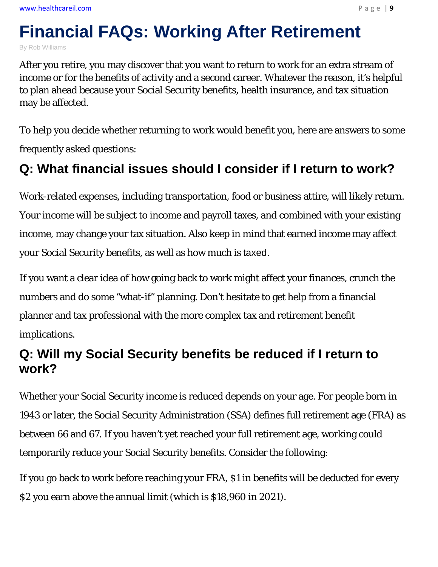# **Financial FAQs: Working After Retirement**

By Rob Williams

After you retire, you may discover that you want to return to work for an extra stream of income or for the benefits of activity and a second career. Whatever the reason, it's helpful to plan ahead because your Social Security benefits, health insurance, and tax situation may be affected.

To help you decide whether returning to work would benefit you, here are answers to some frequently asked questions:

## **Q: What financial issues should I consider if I return to work?**

Work-related expenses, including transportation, food or business attire, will likely return. Your income will be subject to income and payroll taxes, and combined with your existing income, may change your tax situation. Also keep in mind that earned income may affect your Social Security benefits, as well as how much is taxed.

If you want a clear idea of how going back to work might affect your finances, crunch the numbers and do some "what-if" planning. Don't hesitate to get help from a financial planner and tax professional with the more complex tax and retirement benefit implications.

## **Q: Will my Social Security benefits be reduced if I return to work?**

Whether your Social Security income is reduced depends on your age. For people born in 1943 or later, the Social Security Administration (SSA) defines full retirement age (FRA) as between 66 and 67. If you haven't yet reached your full retirement age, working could temporarily reduce your Social Security benefits. Consider the following:

If you go back to work before reaching your FRA, \$1 in benefits will be deducted for every \$2 you earn above the annual limit (which is \$18,960 in 2021).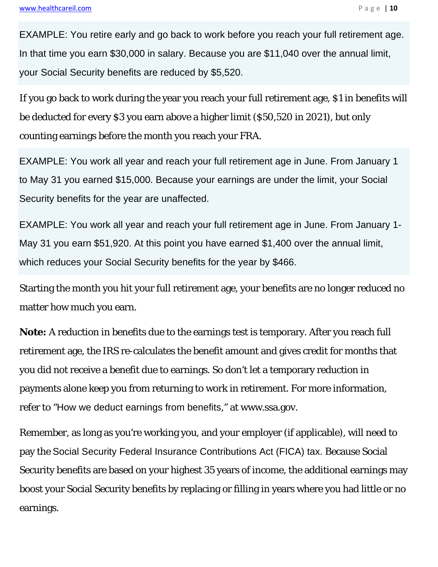EXAMPLE: You retire early and go back to work before you reach your full retirement age. In that time you earn \$30,000 in salary. Because you are \$11,040 over the annual limit, your Social Security benefits are reduced by \$5,520.

If you go back to work during the year you reach your full retirement age, \$1 in benefits will be deducted for every \$3 you earn above a higher limit (\$50,520 in 2021), but only counting earnings before the month you reach your FRA.

EXAMPLE: You work all year and reach your full retirement age in June. From January 1 to May 31 you earned \$15,000. Because your earnings are under the limit, your Social Security benefits for the year are unaffected.

EXAMPLE: You work all year and reach your full retirement age in June. From January 1- May 31 you earn \$51,920. At this point you have earned \$1,400 over the annual limit, which reduces your Social Security benefits for the year by \$466.

Starting the month you hit your full retirement age, your benefits are no longer reduced no matter how much you earn.

**Note:** A reduction in benefits due to the earnings test is temporary. After you reach full retirement age, the IRS re-calculates the benefit amount and gives credit for months that you did not receive a benefit due to earnings. So don't let a temporary reduction in payments alone keep you from returning to work in retirement. For more information, refer to "How we deduct earnings from benefits," at www.ssa.gov.

Remember, as long as you're working you, and your employer (if applicable), will need to pay the Social Security Federal Insurance Contributions Act (FICA) tax. Because Social Security benefits are based on your highest 35 years of income, the additional earnings may boost your Social Security benefits by replacing or filling in years where you had little or no earnings.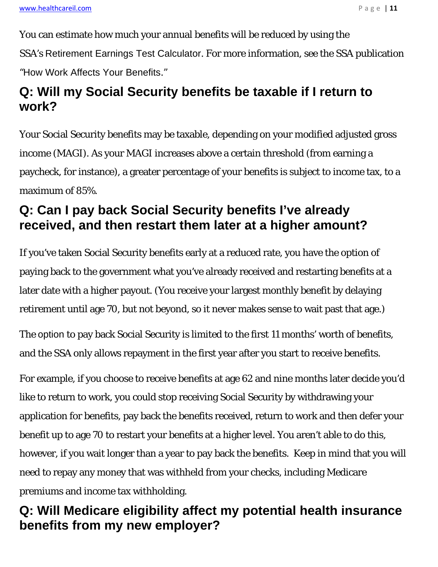You can estimate how much your annual benefits will be reduced by using the SSA's Retirement Earnings Test Calculator. For more information, see the SSA publication "How Work Affects Your Benefits."

## **Q: Will my Social Security benefits be taxable if I return to work?**

Your Social Security benefits may be taxable, depending on your modified adjusted gross income (MAGI). As your MAGI increases above a certain threshold (from earning a paycheck, for instance), a greater percentage of your benefits is subject to income tax, to a maximum of 85%.

## **Q: Can I pay back Social Security benefits I've already received, and then restart them later at a higher amount?**

If you've taken Social Security benefits early at a reduced rate, you have the option of paying back to the government what you've already received and restarting benefits at a later date with a higher payout. (You receive your largest monthly benefit by delaying retirement until age 70, but not beyond, so it never makes sense to wait past that age.)

The option to pay back Social Security is limited to the first 11 months' worth of benefits, and the SSA only allows repayment in the first year after you start to receive benefits.

For example, if you choose to receive benefits at age 62 and nine months later decide you'd like to return to work, you could stop receiving Social Security by withdrawing your application for benefits, pay back the benefits received, return to work and then defer your benefit up to age 70 to restart your benefits at a higher level. You aren't able to do this, however, if you wait longer than a year to pay back the benefits. Keep in mind that you will need to repay any money that was withheld from your checks, including Medicare premiums and income tax withholding.

## **Q: Will Medicare eligibility affect my potential health insurance benefits from my new employer?**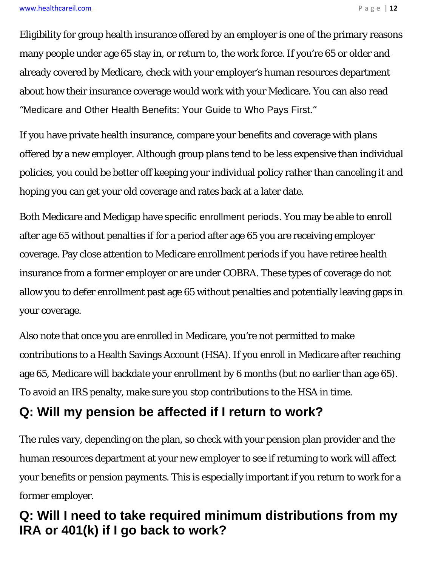Eligibility for group health insurance offered by an employer is one of the primary reasons many people under age 65 stay in, or return to, the work force. If you're 65 or older and already covered by Medicare, check with your employer's human resources department about how their insurance coverage would work with your Medicare. You can also read "Medicare and Other Health Benefits: Your Guide to Who Pays First."

If you have private health insurance, compare your benefits and coverage with plans offered by a new employer. Although group plans tend to be less expensive than individual policies, you could be better off keeping your individual policy rather than canceling it and hoping you can get your old coverage and rates back at a later date.

Both Medicare and Medigap have specific enrollment periods. You may be able to enroll after age 65 without penalties if for a period after age 65 you are receiving employer coverage. Pay close attention to Medicare enrollment periods if you have retiree health insurance from a former employer or are under COBRA. These types of coverage do not allow you to defer enrollment past age 65 without penalties and potentially leaving gaps in your coverage.

Also note that once you are enrolled in Medicare, you're not permitted to make contributions to a Health Savings Account (HSA). If you enroll in Medicare after reaching age 65, Medicare will backdate your enrollment by 6 months (but no earlier than age 65). To avoid an IRS penalty, make sure you stop contributions to the HSA in time.

#### **Q: Will my pension be affected if I return to work?**

The rules vary, depending on the plan, so check with your pension plan provider and the human resources department at your new employer to see if returning to work will affect your benefits or pension payments. This is especially important if you return to work for a former employer.

#### **Q: Will I need to take required minimum distributions from my IRA or 401(k) if I go back to work?**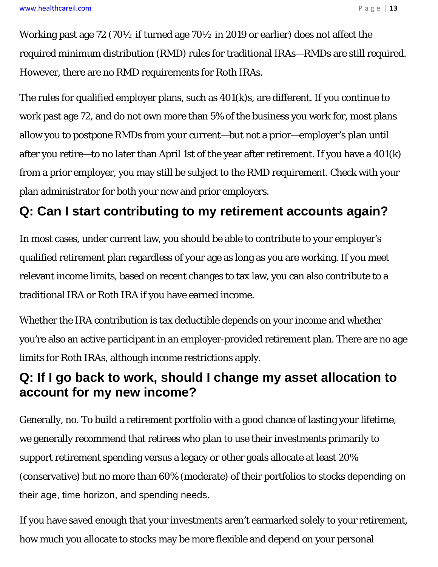Working past age 72 (70½ if turned age 70½ in 2019 or earlier) does not affect the required minimum distribution (RMD) rules for traditional IRAs—RMDs are still required. However, there are no RMD requirements for Roth IRAs.

The rules for qualified employer plans, such as 401(k)s, are different. If you continue to work past age 72, and do not own more than 5% of the business you work for, most plans allow you to postpone RMDs from your current—but not a prior—employer's plan until after you retire—to no later than April 1st of the year after retirement. If you have a 401(k) from a prior employer, you may still be subject to the RMD requirement. Check with your plan administrator for both your new and prior employers.

## **Q: Can I start contributing to my retirement accounts again?**

In most cases, under current law, you should be able to contribute to your employer's qualified retirement plan regardless of your age as long as you are working. If you meet relevant income limits, based on recent changes to tax law, you can also contribute to a traditional IRA or Roth IRA if you have earned income.

Whether the IRA contribution is tax deductible depends on your income and whether you're also an active participant in an employer-provided retirement plan. There are no age limits for Roth IRAs, although income restrictions apply.

#### **Q: If I go back to work, should I change my asset allocation to account for my new income?**

Generally, no. To build a retirement portfolio with a good chance of lasting your lifetime, we generally recommend that retirees who plan to use their investments primarily to support retirement spending versus a legacy or other goals allocate at least 20% (conservative) but no more than 60% (moderate) of their portfolios to stocks depending on their age, time horizon, and spending needs.

If you have saved enough that your investments aren't earmarked solely to your retirement, how much you allocate to stocks may be more flexible and depend on your personal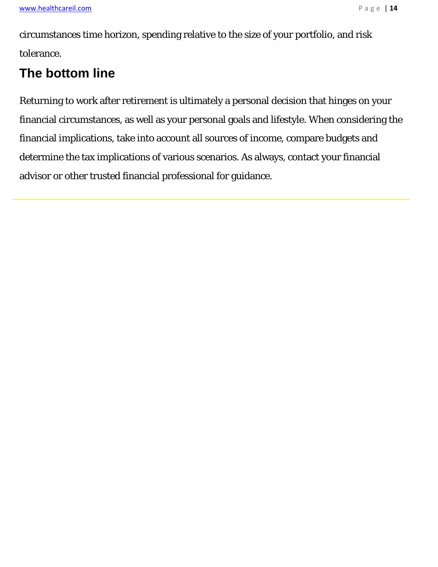circumstances time horizon, spending relative to the size of your portfolio, and risk tolerance.

## **The bottom line**

Returning to work after retirement is ultimately a personal decision that hinges on your financial circumstances, as well as your personal goals and lifestyle. When considering the financial implications, take into account all sources of income, compare budgets and determine the tax implications of various scenarios. As always, contact your financial advisor or other trusted financial professional for guidance.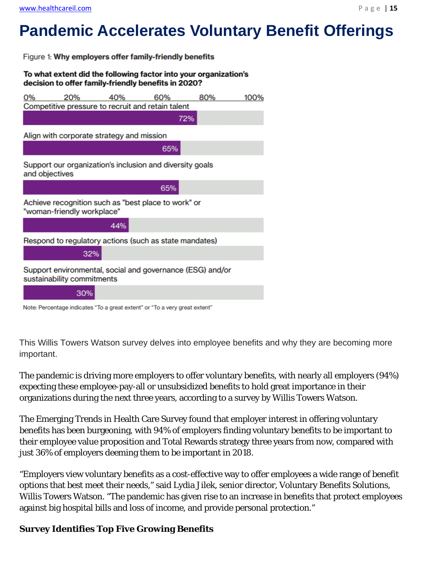# **Pandemic Accelerates Voluntary Benefit Offerings**

Figure 1: Why employers offer family-friendly benefits



| 0%             | 20%                        | 40%                                       | 60%                                                                        | 80%                                                       | 100% |
|----------------|----------------------------|-------------------------------------------|----------------------------------------------------------------------------|-----------------------------------------------------------|------|
|                |                            |                                           | Competitive pressure to recruit and retain talent                          |                                                           |      |
|                |                            |                                           |                                                                            | 72%                                                       |      |
|                |                            | Align with corporate strategy and mission |                                                                            |                                                           |      |
|                |                            |                                           | 65%                                                                        |                                                           |      |
| and objectives |                            |                                           | Support our organization's inclusion and diversity goals                   |                                                           |      |
|                |                            |                                           | 65%                                                                        |                                                           |      |
|                | "woman-friendly workplace" |                                           | Achieve recognition such as "best place to work" or                        |                                                           |      |
|                |                            | 44%                                       |                                                                            |                                                           |      |
|                |                            |                                           | Respond to regulatory actions (such as state mandates)                     |                                                           |      |
|                | 32%                        |                                           |                                                                            |                                                           |      |
|                | sustainability commitments |                                           |                                                                            | Support environmental, social and governance (ESG) and/or |      |
|                | 30%                        |                                           |                                                                            |                                                           |      |
|                |                            |                                           | Note: Percentage indicates "To a great extent" or "To a very great extent" |                                                           |      |

Note: Percentage indicates "To a great extent" or "To a very great extent

This Willis Towers Watson survey delves into employee benefits and why they are becoming more important.

The pandemic is driving more employers to offer voluntary benefits, with nearly all employers (94%) expecting these employee-pay-all or unsubsidized benefits to hold great importance in their organizations during the next three years, according to a survey by Willis Towers Watson.

The Emerging Trends in Health Care Survey found that employer interest in offering voluntary benefits has been burgeoning, with 94% of employers finding voluntary benefits to be important to their employee value proposition and Total Rewards strategy three years from now, compared with just 36% of employers deeming them to be important in 2018.

"Employers view voluntary benefits as a cost-effective way to offer employees a wide range of benefit options that best meet their needs," said Lydia Jilek, senior director, Voluntary Benefits Solutions, Willis Towers Watson. "The pandemic has given rise to an increase in benefits that protect employees against big hospital bills and loss of income, and provide personal protection."

#### **Survey Identifies Top Five Growing Benefits**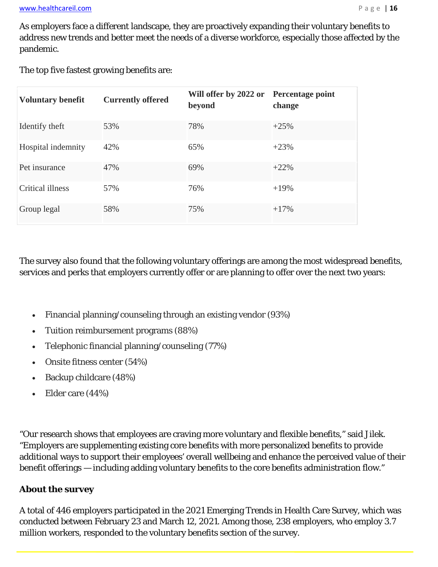As employers face a different landscape, they are proactively expanding their voluntary benefits to address new trends and better meet the needs of a diverse workforce, especially those affected by the pandemic.

The top five fastest growing benefits are:

| <b>Voluntary benefit</b> | <b>Currently offered</b> | Will offer by 2022 or<br>beyond | Percentage point<br>change |
|--------------------------|--------------------------|---------------------------------|----------------------------|
| Identify theft           | 53%                      | 78%                             | $+25%$                     |
| Hospital indemnity       | 42%                      | 65%                             | $+23%$                     |
| Pet insurance            | 47%                      | 69%                             | $+22\%$                    |
| Critical illness         | 57%                      | 76%                             | $+19%$                     |
| Group legal              | 58%                      | 75%                             | $+17%$                     |

The survey also found that the following voluntary offerings are among the most widespread benefits, services and perks that employers currently offer or are planning to offer over the next two years:

- Financial planning/counseling through an existing vendor (93%)
- Tuition reimbursement programs (88%)
- Telephonic financial planning/counseling (77%)
- Onsite fitness center (54%)
- Backup childcare (48%)
- Elder care (44%)

"Our research shows that employees are craving more voluntary and flexible benefits," said Jilek. "Employers are supplementing existing core benefits with more personalized benefits to provide additional ways to support their employees' overall wellbeing and enhance the perceived value of their benefit offerings — including adding voluntary benefits to the core benefits administration flow."

#### **About the survey**

A total of 446 employers participated in the 2021 Emerging Trends in Health Care Survey, which was conducted between February 23 and March 12, 2021. Among those, 238 employers, who employ 3.7 million workers, responded to the voluntary benefits section of the survey.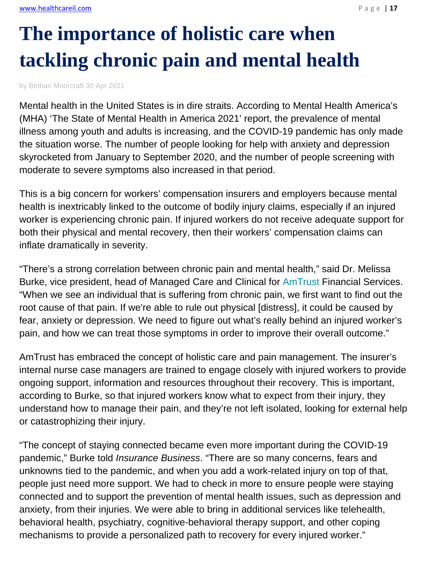# **The importance of holistic care when tackling chronic pain and mental health**

by Bethan Moorcraft 30 Apr 2021

Mental health in the United States is in dire straits. According to Mental Health America's (MHA) 'The State of Mental Health in America 2021' report, the prevalence of mental illness among youth and adults is increasing, and the COVID-19 pandemic has only made the situation worse. The number of people looking for help with anxiety and depression skyrocketed from January to September 2020, and the number of people screening with moderate to severe symptoms also increased in that period.

This is a big concern for workers' compensation insurers and employers because mental health is inextricably linked to the outcome of bodily injury claims, especially if an injured worker is experiencing chronic pain. If injured workers do not receive adequate support for both their physical and mental recovery, then their workers' compensation claims can inflate dramatically in severity.

"There's a strong correlation between chronic pain and mental health," said Dr. Melissa Burke, vice president, head of Managed Care and Clinical for AmTrust Financial Services. "When we see an individual that is suffering from chronic pain, we first want to find out the root cause of that pain. If we're able to rule out physical [distress], it could be caused by fear, anxiety or depression. We need to figure out what's really behind an injured worker's pain, and how we can treat those symptoms in order to improve their overall outcome."

AmTrust has embraced the concept of holistic care and pain management. The insurer's internal nurse case managers are trained to engage closely with injured workers to provide ongoing support, information and resources throughout their recovery. This is important, according to Burke, so that injured workers know what to expect from their injury, they understand how to manage their pain, and they're not left isolated, looking for external help or catastrophizing their injury.

"The concept of staying connected became even more important during the COVID-19 pandemic," Burke told *Insurance Business*. "There are so many concerns, fears and unknowns tied to the pandemic, and when you add a work-related injury on top of that, people just need more support. We had to check in more to ensure people were staying connected and to support the prevention of mental health issues, such as depression and anxiety, from their injuries. We were able to bring in additional services like telehealth, behavioral health, psychiatry, cognitive-behavioral therapy support, and other coping mechanisms to provide a personalized path to recovery for every injured worker."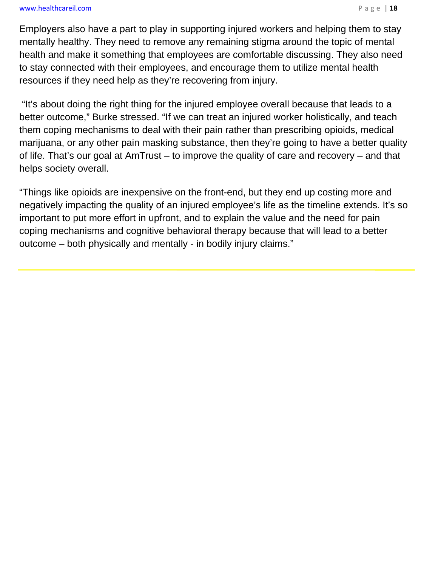#### www.healthcareil.com **Department of the COVID-2000** Page | 18

Employers also have a part to play in supporting injured workers and helping them to stay mentally healthy. They need to remove any remaining stigma around the topic of mental health and make it something that employees are comfortable discussing. They also need to stay connected with their employees, and encourage them to utilize mental health resources if they need help as they're recovering from injury.

 "It's about doing the right thing for the injured employee overall because that leads to a better outcome," Burke stressed. "If we can treat an injured worker holistically, and teach them coping mechanisms to deal with their pain rather than prescribing opioids, medical marijuana, or any other pain masking substance, then they're going to have a better quality of life. That's our goal at AmTrust – to improve the quality of care and recovery – and that helps society overall.

"Things like opioids are inexpensive on the front-end, but they end up costing more and negatively impacting the quality of an injured employee's life as the timeline extends. It's so important to put more effort in upfront, and to explain the value and the need for pain coping mechanisms and cognitive behavioral therapy because that will lead to a better outcome – both physically and mentally - in bodily injury claims."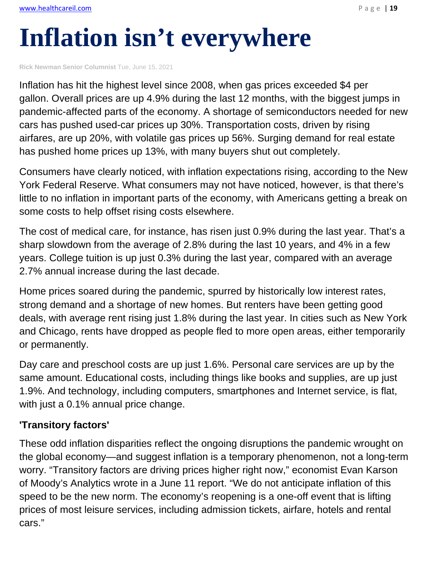# **Inflation isn't everywhere**

**Rick Newman Senior Columnist** Tue, June 15, 2021

Inflation has hit the highest level since 2008, when gas prices exceeded \$4 per gallon. Overall prices are up 4.9% during the last 12 months, with the biggest jumps in pandemic-affected parts of the economy. A shortage of semiconductors needed for new cars has pushed used-car prices up 30%. Transportation costs, driven by rising airfares, are up 20%, with volatile gas prices up 56%. Surging demand for real estate has pushed home prices up 13%, with many buyers shut out completely.

Consumers have clearly noticed, with inflation expectations rising, according to the New York Federal Reserve. What consumers may not have noticed, however, is that there's little to no inflation in important parts of the economy, with Americans getting a break on some costs to help offset rising costs elsewhere.

The cost of medical care, for instance, has risen just 0.9% during the last year. That's a sharp slowdown from the average of 2.8% during the last 10 years, and 4% in a few years. College tuition is up just 0.3% during the last year, compared with an average 2.7% annual increase during the last decade.

Home prices soared during the pandemic, spurred by historically low interest rates, strong demand and a shortage of new homes. But renters have been getting good deals, with average rent rising just 1.8% during the last year. In cities such as New York and Chicago, rents have dropped as people fled to more open areas, either temporarily or permanently.

Day care and preschool costs are up just 1.6%. Personal care services are up by the same amount. Educational costs, including things like books and supplies, are up just 1.9%. And technology, including computers, smartphones and Internet service, is flat, with just a 0.1% annual price change.

#### **'Transitory factors'**

These odd inflation disparities reflect the ongoing disruptions the pandemic wrought on the global economy—and suggest inflation is a temporary phenomenon, not a long-term worry. "Transitory factors are driving prices higher right now," economist Evan Karson of Moody's Analytics wrote in a June 11 report. "We do not anticipate inflation of this speed to be the new norm. The economy's reopening is a one-off event that is lifting prices of most leisure services, including admission tickets, airfare, hotels and rental cars."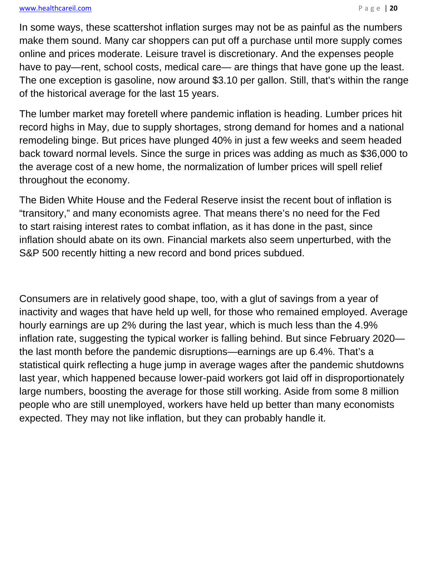#### www.healthcareil.com **blue and the set of the set of the set of the set of the set of the set of the set of the set of the set of the set of the set of the set of the set of the set of the set of the set of the set of the**

In some ways, these scattershot inflation surges may not be as painful as the numbers make them sound. Many car shoppers can put off a purchase until more supply comes online and prices moderate. Leisure travel is discretionary. And the expenses people have to pay—rent, school costs, medical care— are things that have gone up the least. The one exception is gasoline, now around \$3.10 per gallon. Still, that's within the range of the historical average for the last 15 years.

The lumber market may foretell where pandemic inflation is heading. Lumber prices hit record highs in May, due to supply shortages, strong demand for homes and a national remodeling binge. But prices have plunged 40% in just a few weeks and seem headed back toward normal levels. Since the surge in prices was adding as much as \$36,000 to the average cost of a new home, the normalization of lumber prices will spell relief throughout the economy.

The Biden White House and the Federal Reserve insist the recent bout of inflation is "transitory," and many economists agree. That means there's no need for the Fed to start raising interest rates to combat inflation, as it has done in the past, since inflation should abate on its own. Financial markets also seem unperturbed, with the S&P 500 recently hitting a new record and bond prices subdued.

Consumers are in relatively good shape, too, with a glut of savings from a year of inactivity and wages that have held up well, for those who remained employed. Average hourly earnings are up 2% during the last year, which is much less than the 4.9% inflation rate, suggesting the typical worker is falling behind. But since February 2020 the last month before the pandemic disruptions—earnings are up 6.4%. That's a statistical quirk reflecting a huge jump in average wages after the pandemic shutdowns last year, which happened because lower-paid workers got laid off in disproportionately large numbers, boosting the average for those still working. Aside from some 8 million people who are still unemployed, workers have held up better than many economists expected. They may not like inflation, but they can probably handle it.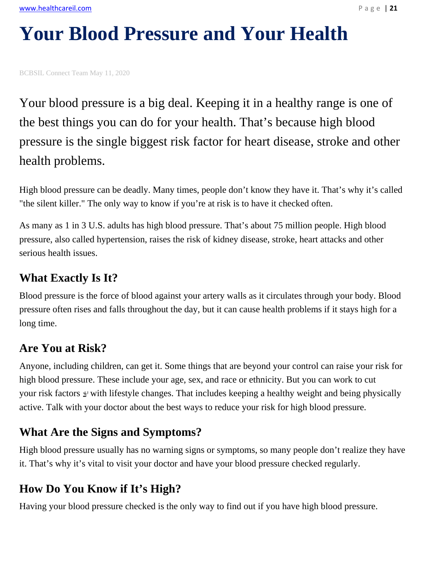# **Your Blood Pressure and Your Health**

BCBSIL Connect Team May 11, 2020

Your blood pressure is a big deal. Keeping it in a healthy range is one of the best things you can do for your health. That's because high blood pressure is the single biggest risk factor for heart disease, stroke and other health problems.

High blood pressure can be deadly. Many times, people don't know they have it. That's why it's called "the silent killer." The only way to know if you're at risk is to have it checked often.

As many as 1 in 3 U.S. adults has high blood pressure. That's about 75 million people. High blood pressure, also called hypertension, raises the risk of kidney disease, stroke, heart attacks and other serious health issues.

#### **What Exactly Is It?**

Blood pressure is the force of blood against your artery walls as it circulates through your body. Blood pressure often rises and falls throughout the day, but it can cause health problems if it stays high for a long time.

#### **Are You at Risk?**

Anyone, including children, can get it. Some things that are beyond your control can raise your risk for high blood pressure. These include your age, sex, and race or ethnicity. But you can work to cut your risk factors  $\triangleq$  with lifestyle changes. That includes keeping a healthy weight and being physically active. Talk with your doctor about the best ways to reduce your risk for high blood pressure.

#### **What Are the Signs and Symptoms?**

High blood pressure usually has no warning signs or symptoms, so many people don't realize they have it. That's why it's vital to visit your doctor and have your blood pressure checked regularly.

#### **How Do You Know if It's High?**

Having your blood pressure checked is the only way to find out if you have high blood pressure.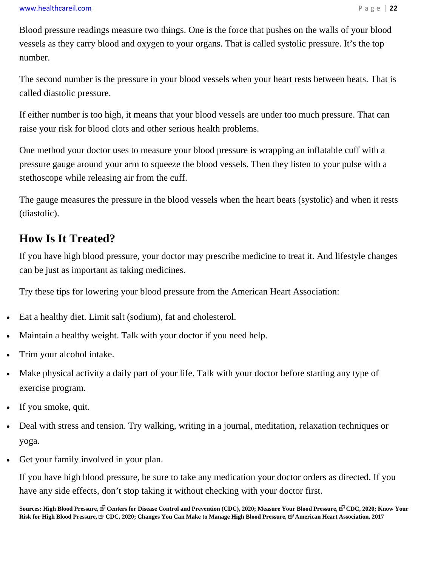Blood pressure readings measure two things. One is the force that pushes on the walls of your blood vessels as they carry blood and oxygen to your organs. That is called systolic pressure. It's the top number.

The second number is the pressure in your blood vessels when your heart rests between beats. That is called diastolic pressure.

If either number is too high, it means that your blood vessels are under too much pressure. That can raise your risk for blood clots and other serious health problems.

One method your doctor uses to measure your blood pressure is wrapping an inflatable cuff with a pressure gauge around your arm to squeeze the blood vessels. Then they listen to your pulse with a stethoscope while releasing air from the cuff.

The gauge measures the pressure in the blood vessels when the heart beats (systolic) and when it rests (diastolic).

#### **How Is It Treated?**

If you have high blood pressure, your doctor may prescribe medicine to treat it. And lifestyle changes can be just as important as taking medicines.

Try these tips for lowering your blood pressure from the American Heart Association:

- Eat a healthy diet. Limit salt (sodium), fat and cholesterol.
- Maintain a healthy weight. Talk with your doctor if you need help.
- Trim your alcohol intake.
- Make physical activity a daily part of your life. Talk with your doctor before starting any type of exercise program.
- If you smoke, quit.
- Deal with stress and tension. Try walking, writing in a journal, meditation, relaxation techniques or yoga.
- Get your family involved in your plan.

If you have high blood pressure, be sure to take any medication your doctor orders as directed. If you have any side effects, don't stop taking it without checking with your doctor first.

Sources: High Blood Pressure, <sup>R</sup> Centers for Disease Control and Prevention (CDC), 2020; Measure Your Blood Pressure, N<sup>T</sup> CDC, 2020; Know Your Risk for High Blood Pressure,  $\mathbb{B}^1$ CDC, 2020; Changes You Can Make to Manage High Blood Pressure,  $\mathbb{B}^1$  American Heart Association, 2017